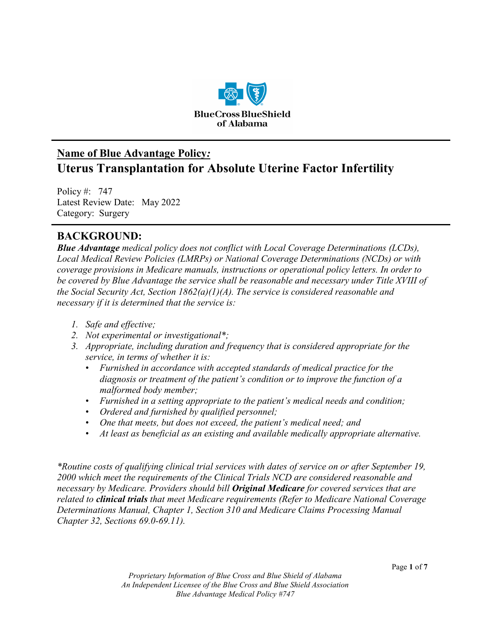

# **Name of Blue Advantage Policy***:* **Uterus Transplantation for Absolute Uterine Factor Infertility**

Policy #: 747 Latest Review Date: May 2022 Category: Surgery

### **BACKGROUND:**

*Blue Advantage medical policy does not conflict with Local Coverage Determinations (LCDs), Local Medical Review Policies (LMRPs) or National Coverage Determinations (NCDs) or with coverage provisions in Medicare manuals, instructions or operational policy letters. In order to be covered by Blue Advantage the service shall be reasonable and necessary under Title XVIII of the Social Security Act, Section 1862(a)(1)(A). The service is considered reasonable and necessary if it is determined that the service is:*

- *1. Safe and effective;*
- *2. Not experimental or investigational\*;*
- *3. Appropriate, including duration and frequency that is considered appropriate for the service, in terms of whether it is:*
	- *Furnished in accordance with accepted standards of medical practice for the diagnosis or treatment of the patient's condition or to improve the function of a malformed body member;*
	- *Furnished in a setting appropriate to the patient's medical needs and condition;*
	- *Ordered and furnished by qualified personnel;*
	- *One that meets, but does not exceed, the patient's medical need; and*
	- *At least as beneficial as an existing and available medically appropriate alternative.*

*\*Routine costs of qualifying clinical trial services with dates of service on or after September 19, 2000 which meet the requirements of the Clinical Trials NCD are considered reasonable and necessary by Medicare. Providers should bill Original Medicare for covered services that are related to clinical trials that meet Medicare requirements (Refer to Medicare National Coverage Determinations Manual, Chapter 1, Section 310 and Medicare Claims Processing Manual Chapter 32, Sections 69.0-69.11).*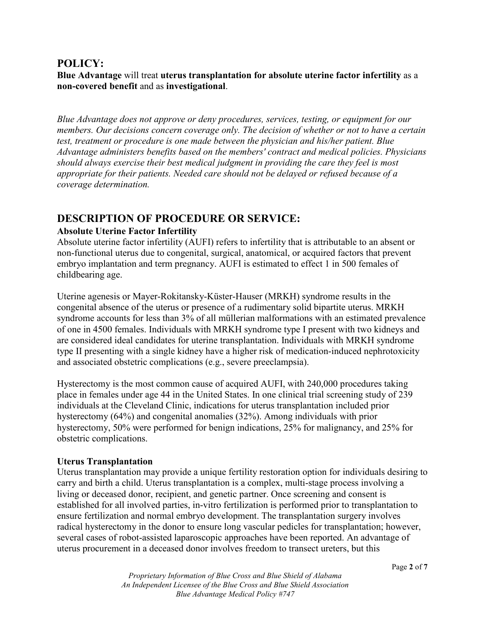### **POLICY:**

**Blue Advantage** will treat **uterus transplantation for absolute uterine factor infertility** as a **non-covered benefit** and as **investigational**.

*Blue Advantage does not approve or deny procedures, services, testing, or equipment for our members. Our decisions concern coverage only. The decision of whether or not to have a certain test, treatment or procedure is one made between the physician and his/her patient. Blue Advantage administers benefits based on the members' contract and medical policies. Physicians should always exercise their best medical judgment in providing the care they feel is most appropriate for their patients. Needed care should not be delayed or refused because of a coverage determination.* 

### **DESCRIPTION OF PROCEDURE OR SERVICE:**

#### **Absolute Uterine Factor Infertility**

Absolute uterine factor infertility (AUFI) refers to infertility that is attributable to an absent or non-functional uterus due to congenital, surgical, anatomical, or acquired factors that prevent embryo implantation and term pregnancy. AUFI is estimated to effect 1 in 500 females of childbearing age.

Uterine agenesis or Mayer-Rokitansky-Küster-Hauser (MRKH) syndrome results in the congenital absence of the uterus or presence of a rudimentary solid bipartite uterus. MRKH syndrome accounts for less than 3% of all müllerian malformations with an estimated prevalence of one in 4500 females. Individuals with MRKH syndrome type I present with two kidneys and are considered ideal candidates for uterine transplantation. Individuals with MRKH syndrome type II presenting with a single kidney have a higher risk of medication-induced nephrotoxicity and associated obstetric complications (e.g., severe preeclampsia).

Hysterectomy is the most common cause of acquired AUFI, with 240,000 procedures taking place in females under age 44 in the United States. In one clinical trial screening study of 239 individuals at the Cleveland Clinic, indications for uterus transplantation included prior hysterectomy (64%) and congenital anomalies (32%). Among individuals with prior hysterectomy, 50% were performed for benign indications, 25% for malignancy, and 25% for obstetric complications.

#### **Uterus Transplantation**

Uterus transplantation may provide a unique fertility restoration option for individuals desiring to carry and birth a child. Uterus transplantation is a complex, multi-stage process involving a living or deceased donor, recipient, and genetic partner. Once screening and consent is established for all involved parties, in-vitro fertilization is performed prior to transplantation to ensure fertilization and normal embryo development. The transplantation surgery involves radical hysterectomy in the donor to ensure long vascular pedicles for transplantation; however, several cases of robot-assisted laparoscopic approaches have been reported. An advantage of uterus procurement in a deceased donor involves freedom to transect ureters, but this

> *Proprietary Information of Blue Cross and Blue Shield of Alabama An Independent Licensee of the Blue Cross and Blue Shield Association Blue Advantage Medical Policy #747*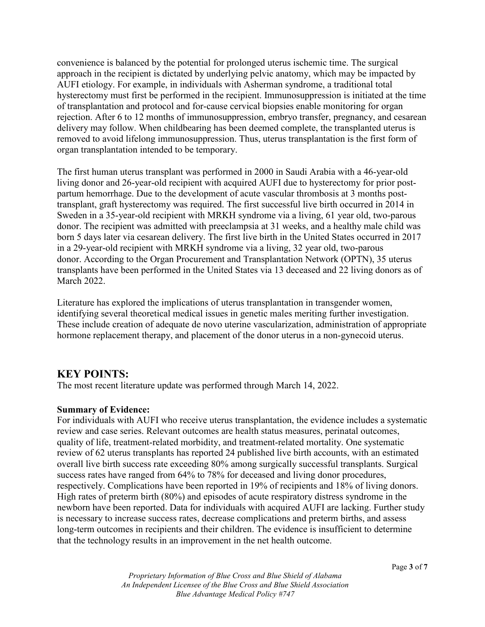convenience is balanced by the potential for prolonged uterus ischemic time. The surgical approach in the recipient is dictated by underlying pelvic anatomy, which may be impacted by AUFI etiology. For example, in individuals with Asherman syndrome, a traditional total hysterectomy must first be performed in the recipient. Immunosuppression is initiated at the time of transplantation and protocol and for-cause cervical biopsies enable monitoring for organ rejection. After 6 to 12 months of immunosuppression, embryo transfer, pregnancy, and cesarean delivery may follow. When childbearing has been deemed complete, the transplanted uterus is removed to avoid lifelong immunosuppression. Thus, uterus transplantation is the first form of organ transplantation intended to be temporary.

The first human uterus transplant was performed in 2000 in Saudi Arabia with a 46-year-old living donor and 26-year-old recipient with acquired AUFI due to hysterectomy for prior postpartum hemorrhage. Due to the development of acute vascular thrombosis at 3 months posttransplant, graft hysterectomy was required. The first successful live birth occurred in 2014 in Sweden in a 35-year-old recipient with MRKH syndrome via a living, 61 year old, two-parous donor. The recipient was admitted with preeclampsia at 31 weeks, and a healthy male child was born 5 days later via cesarean delivery. The first live birth in the United States occurred in 2017 in a 29-year-old recipient with MRKH syndrome via a living, 32 year old, two-parous donor. According to the Organ Procurement and Transplantation Network (OPTN), 35 uterus transplants have been performed in the United States via 13 deceased and 22 living donors as of March 2022.

Literature has explored the implications of uterus transplantation in transgender women, identifying several theoretical medical issues in genetic males meriting further investigation. These include creation of adequate de novo uterine vascularization, administration of appropriate hormone replacement therapy, and placement of the donor uterus in a non-gynecoid uterus.

### **KEY POINTS:**

The most recent literature update was performed through March 14, 2022.

#### **Summary of Evidence:**

For individuals with AUFI who receive uterus transplantation, the evidence includes a systematic review and case series. Relevant outcomes are health status measures, perinatal outcomes, quality of life, treatment-related morbidity, and treatment-related mortality. One systematic review of 62 uterus transplants has reported 24 published live birth accounts, with an estimated overall live birth success rate exceeding 80% among surgically successful transplants. Surgical success rates have ranged from 64% to 78% for deceased and living donor procedures, respectively. Complications have been reported in 19% of recipients and 18% of living donors. High rates of preterm birth (80%) and episodes of acute respiratory distress syndrome in the newborn have been reported. Data for individuals with acquired AUFI are lacking. Further study is necessary to increase success rates, decrease complications and preterm births, and assess long-term outcomes in recipients and their children. The evidence is insufficient to determine that the technology results in an improvement in the net health outcome.

*Proprietary Information of Blue Cross and Blue Shield of Alabama An Independent Licensee of the Blue Cross and Blue Shield Association Blue Advantage Medical Policy #747*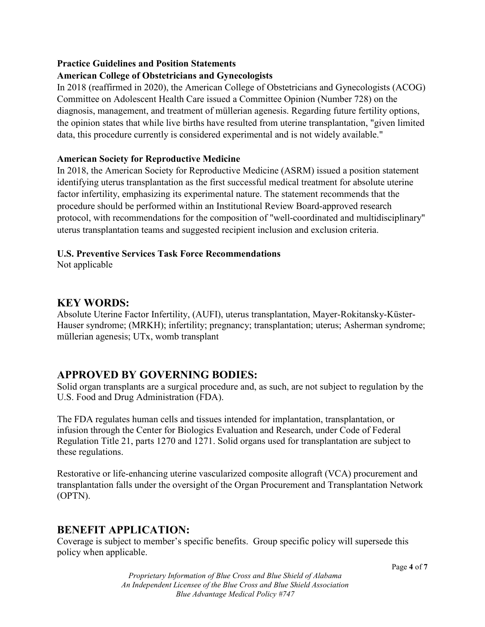### **Practice Guidelines and Position Statements**

### **American College of Obstetricians and Gynecologists**

In 2018 (reaffirmed in 2020), the American College of Obstetricians and Gynecologists (ACOG) Committee on Adolescent Health Care issued a Committee Opinion (Number 728) on the diagnosis, management, and treatment of müllerian agenesis. Regarding future fertility options, the opinion states that while live births have resulted from uterine transplantation, "given limited data, this procedure currently is considered experimental and is not widely available."

#### **American Society for Reproductive Medicine**

In 2018, the American Society for Reproductive Medicine (ASRM) issued a position statement identifying uterus transplantation as the first successful medical treatment for absolute uterine factor infertility, emphasizing its experimental nature. The statement recommends that the procedure should be performed within an Institutional Review Board-approved research protocol, with recommendations for the composition of "well-coordinated and multidisciplinary" uterus transplantation teams and suggested recipient inclusion and exclusion criteria.

#### **U.S. Preventive Services Task Force Recommendations**

Not applicable

### **KEY WORDS:**

Absolute Uterine Factor Infertility, (AUFI), uterus transplantation, Mayer-Rokitansky-Küster-Hauser syndrome; (MRKH); infertility; pregnancy; transplantation; uterus; Asherman syndrome; müllerian agenesis; UTx, womb transplant

### **APPROVED BY GOVERNING BODIES:**

Solid organ transplants are a surgical procedure and, as such, are not subject to regulation by the U.S. Food and Drug Administration (FDA).

The FDA regulates human cells and tissues intended for implantation, transplantation, or infusion through the Center for Biologics Evaluation and Research, under Code of Federal Regulation Title 21, parts 1270 and 1271. Solid organs used for transplantation are subject to these regulations.

Restorative or life-enhancing uterine vascularized composite allograft (VCA) procurement and transplantation falls under the oversight of the Organ Procurement and Transplantation Network (OPTN).

### **BENEFIT APPLICATION:**

Coverage is subject to member's specific benefits. Group specific policy will supersede this policy when applicable.

*Proprietary Information of Blue Cross and Blue Shield of Alabama An Independent Licensee of the Blue Cross and Blue Shield Association Blue Advantage Medical Policy #747*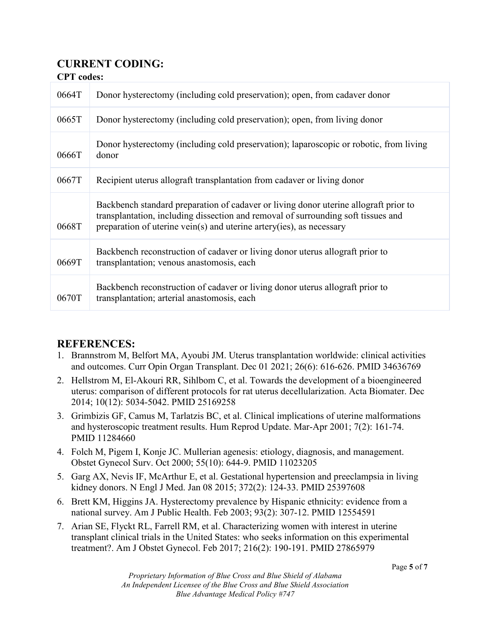## **CURRENT CODING:**

**CPT codes:** 

| <b>CI I COULD</b> |                                                                                                                                                                                                                                                   |
|-------------------|---------------------------------------------------------------------------------------------------------------------------------------------------------------------------------------------------------------------------------------------------|
| 0664T             | Donor hysterectomy (including cold preservation); open, from cadaver donor                                                                                                                                                                        |
| 0665T             | Donor hysterectomy (including cold preservation); open, from living donor                                                                                                                                                                         |
| 0666T             | Donor hysterectomy (including cold preservation); laparoscopic or robotic, from living<br>donor                                                                                                                                                   |
| 0667T             | Recipient uterus allograft transplantation from cadaver or living donor                                                                                                                                                                           |
| 0668T             | Backbench standard preparation of cadaver or living donor uterine allograft prior to<br>transplantation, including dissection and removal of surrounding soft tissues and<br>preparation of uterine vein(s) and uterine artery(ies), as necessary |
| 0669T             | Backbench reconstruction of cadaver or living donor uterus allograft prior to<br>transplantation; venous anastomosis, each                                                                                                                        |
| 0670T             | Backbench reconstruction of cadaver or living donor uterus allograft prior to<br>transplantation; arterial anastomosis, each                                                                                                                      |

### **REFERENCES:**

- 1. Brannstrom M, Belfort MA, Ayoubi JM. Uterus transplantation worldwide: clinical activities and outcomes. Curr Opin Organ Transplant. Dec 01 2021; 26(6): 616-626. PMID 34636769
- 2. Hellstrom M, El-Akouri RR, Sihlbom C, et al. Towards the development of a bioengineered uterus: comparison of different protocols for rat uterus decellularization. Acta Biomater. Dec 2014; 10(12): 5034-5042. PMID 25169258
- 3. Grimbizis GF, Camus M, Tarlatzis BC, et al. Clinical implications of uterine malformations and hysteroscopic treatment results. Hum Reprod Update. Mar-Apr 2001; 7(2): 161-74. PMID 11284660
- 4. Folch M, Pigem I, Konje JC. Mullerian agenesis: etiology, diagnosis, and management. Obstet Gynecol Surv. Oct 2000; 55(10): 644-9. PMID 11023205
- 5. Garg AX, Nevis IF, McArthur E, et al. Gestational hypertension and preeclampsia in living kidney donors. N Engl J Med. Jan 08 2015; 372(2): 124-33. PMID 25397608
- 6. Brett KM, Higgins JA. Hysterectomy prevalence by Hispanic ethnicity: evidence from a national survey. Am J Public Health. Feb 2003; 93(2): 307-12. PMID 12554591
- 7. Arian SE, Flyckt RL, Farrell RM, et al. Characterizing women with interest in uterine transplant clinical trials in the United States: who seeks information on this experimental treatment?. Am J Obstet Gynecol. Feb 2017; 216(2): 190-191. PMID 27865979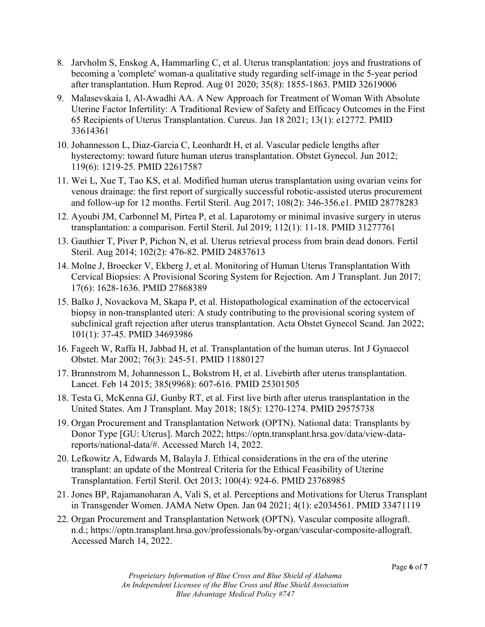- 8. Jarvholm S, Enskog A, Hammarling C, et al. Uterus transplantation: joys and frustrations of becoming a 'complete' woman-a qualitative study regarding self-image in the 5-year period after transplantation. Hum Reprod. Aug 01 2020; 35(8): 1855-1863. PMID 32619006
- 9. Malasevskaia I, Al-Awadhi AA. A New Approach for Treatment of Woman With Absolute Uterine Factor Infertility: A Traditional Review of Safety and Efficacy Outcomes in the First 65 Recipients of Uterus Transplantation. Cureus. Jan 18 2021; 13(1): e12772. PMID 33614361
- 10. Johannesson L, Diaz-Garcia C, Leonhardt H, et al. Vascular pedicle lengths after hysterectomy: toward future human uterus transplantation. Obstet Gynecol. Jun 2012; 119(6): 1219-25. PMID 22617587
- 11. Wei L, Xue T, Tao KS, et al. Modified human uterus transplantation using ovarian veins for venous drainage: the first report of surgically successful robotic-assisted uterus procurement and follow-up for 12 months. Fertil Steril. Aug 2017; 108(2): 346-356.e1. PMID 28778283
- 12. Ayoubi JM, Carbonnel M, Pirtea P, et al. Laparotomy or minimal invasive surgery in uterus transplantation: a comparison. Fertil Steril. Jul 2019; 112(1): 11-18. PMID 31277761
- 13. Gauthier T, Piver P, Pichon N, et al. Uterus retrieval process from brain dead donors. Fertil Steril. Aug 2014; 102(2): 476-82. PMID 24837613
- 14. Molne J, Broecker V, Ekberg J, et al. Monitoring of Human Uterus Transplantation With Cervical Biopsies: A Provisional Scoring System for Rejection. Am J Transplant. Jun 2017; 17(6): 1628-1636. PMID 27868389
- 15. Balko J, Novackova M, Skapa P, et al. Histopathological examination of the ectocervical biopsy in non-transplanted uteri: A study contributing to the provisional scoring system of subclinical graft rejection after uterus transplantation. Acta Obstet Gynecol Scand. Jan 2022; 101(1): 37-45. PMID 34693986
- 16. Fageeh W, Raffa H, Jabbad H, et al. Transplantation of the human uterus. Int J Gynaecol Obstet. Mar 2002; 76(3): 245-51. PMID 11880127
- 17. Brannstrom M, Johannesson L, Bokstrom H, et al. Livebirth after uterus transplantation. Lancet. Feb 14 2015; 385(9968): 607-616. PMID 25301505
- 18. Testa G, McKenna GJ, Gunby RT, et al. First live birth after uterus transplantation in the United States. Am J Transplant. May 2018; 18(5): 1270-1274. PMID 29575738
- 19. Organ Procurement and Transplantation Network (OPTN). National data: Transplants by Donor Type [GU: Uterus]. March 2022; https://optn.transplant.hrsa.gov/data/view-datareports/national-data/#. Accessed March 14, 2022.
- 20. Lefkowitz A, Edwards M, Balayla J. Ethical considerations in the era of the uterine transplant: an update of the Montreal Criteria for the Ethical Feasibility of Uterine Transplantation. Fertil Steril. Oct 2013; 100(4): 924-6. PMID 23768985
- 21. Jones BP, Rajamanoharan A, Vali S, et al. Perceptions and Motivations for Uterus Transplant in Transgender Women. JAMA Netw Open. Jan 04 2021; 4(1): e2034561. PMID 33471119
- 22. Organ Procurement and Transplantation Network (OPTN). Vascular composite allograft. n.d.; https://optn.transplant.hrsa.gov/professionals/by-organ/vascular-composite-allograft. Accessed March 14, 2022.